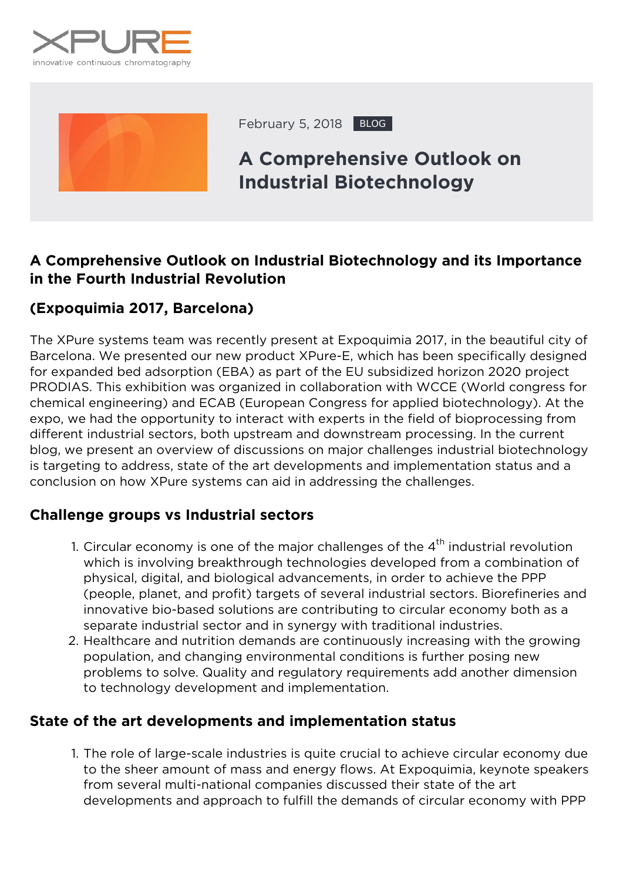



February 5, 2018 BLOG

# **A Comprehensive Outlook on Industrial Biotechnology**

### **A Comprehensive Outlook on Industrial Biotechnology and its Importance in the Fourth Industrial Revolution**

#### *(Expoquimia 2017, Barcelona)*

The XPure systems team was recently present at Expoquimia 2017, in the beautiful city of Barcelona. We presented our new product XPure-E, which has been specifically designed for expanded bed adsorption (EBA) as part of the EU subsidized horizon 2020 project PRODIAS. This exhibition was organized in collaboration with WCCE (World congress for chemical engineering) and ECAB (European Congress for applied biotechnology). At the expo, we had the opportunity to interact with experts in the field of bioprocessing from different industrial sectors, both upstream and downstream processing. In the current blog, we present an overview of discussions on major challenges industrial biotechnology is targeting to address, state of the art developments and implementation status and a conclusion on how XPure systems can aid in addressing the challenges.

#### **Challenge groups vs Industrial sectors**

- 1. Circular economy is one of the major challenges of the  $4<sup>th</sup>$  industrial revolution which is involving breakthrough technologies developed from a combination of physical, digital, and biological advancements, in order to achieve the PPP (people, planet, and profit) targets of several industrial sectors. Biorefineries and innovative bio-based solutions are contributing to circular economy both as a separate industrial sector and in synergy with traditional industries.
- 2. Healthcare and nutrition demands are continuously increasing with the growing population, and changing environmental conditions is further posing new problems to solve. Quality and regulatory requirements add another dimension to technology development and implementation.

#### **State of the art developments and implementation status**

1. The role of large-scale industries is quite crucial to achieve circular economy due to the sheer amount of mass and energy flows. At Expoquimia, keynote speakers from several multi-national companies discussed their state of the art developments and approach to fulfill the demands of circular economy with PPP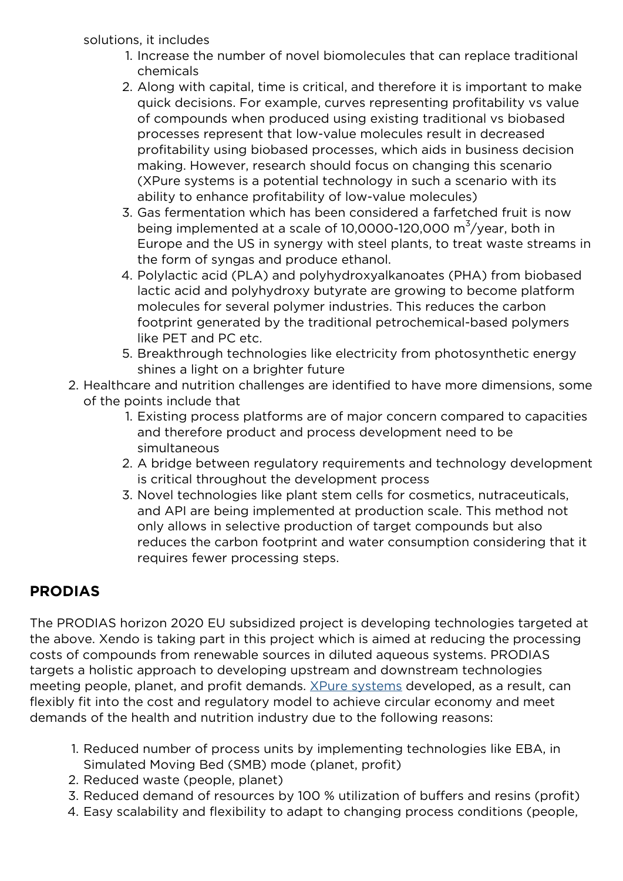#### solutions, it includes

- 1. Increase the number of novel biomolecules that can replace traditional chemicals
- 2. Along with capital, time is critical, and therefore it is important to make quick decisions. For example, curves representing profitability vs value of compounds when produced using existing traditional vs biobased processes represent that low-value molecules result in decreased profitability using biobased processes, which aids in business decision making. However, research should focus on changing this scenario (XPure systems is a potential technology in such a scenario with its ability to enhance profitability of low-value molecules)
- 3. Gas fermentation which has been considered a farfetched fruit is now being implemented at a scale of 10,0000-120,000  $\textsf{m}^{3}/\textsf{year}$ , both in Europe and the US in synergy with steel plants, to treat waste streams in the form of syngas and produce ethanol.
- 4. Polylactic acid (PLA) and polyhydroxyalkanoates (PHA) from biobased lactic acid and polyhydroxy butyrate are growing to become platform molecules for several polymer industries. This reduces the carbon footprint generated by the traditional petrochemical-based polymers like PET and PC etc.
- 5. Breakthrough technologies like electricity from photosynthetic energy shines a light on a brighter future
- 2. Healthcare and nutrition challenges are identified to have more dimensions, some of the points include that
	- 1. Existing process platforms are of major concern compared to capacities and therefore product and process development need to be simultaneous
	- 2. A bridge between regulatory requirements and technology development is critical throughout the development process
	- 3. Novel technologies like plant stem cells for cosmetics, nutraceuticals, and API are being implemented at production scale. This method not only allows in selective production of target compounds but also reduces the carbon footprint and water consumption considering that it requires fewer processing steps.

## **PRODIAS**

The PRODIAS horizon 2020 EU subsidized project is developing technologies targeted at the above. Xendo is taking part in this project which is aimed at reducing the processing costs of compounds from renewable sources in diluted aqueous systems. PRODIAS targets a holistic approach to developing upstream and downstream technologies meeting people, planet, and profit demands. [XPure systems](https://xpure-systems.com/products-and-services/) developed, as a result, can flexibly fit into the cost and regulatory model to achieve circular economy and meet demands of the health and nutrition industry due to the following reasons:

- 1. Reduced number of process units by implementing technologies like EBA, in Simulated Moving Bed (SMB) mode (planet, profit)
- 2. Reduced waste (people, planet)
- 3. Reduced demand of resources by 100 % utilization of buffers and resins (profit)
- 4. Easy scalability and flexibility to adapt to changing process conditions (people,